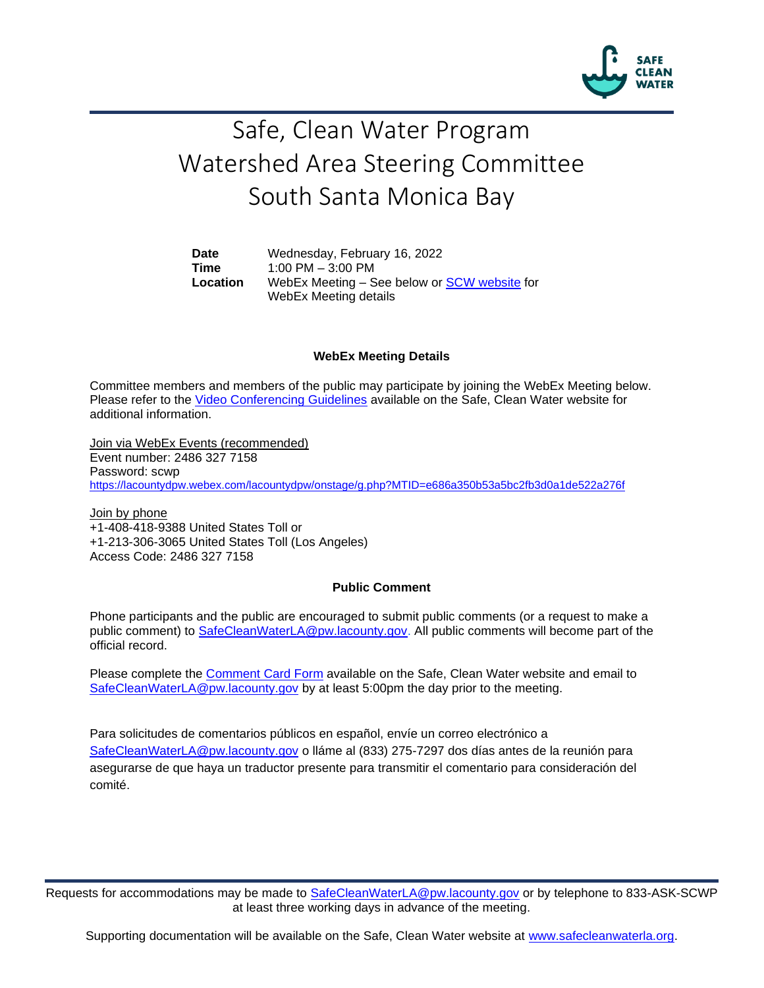

# Safe, Clean Water Program Watershed Area Steering Committee South Santa Monica Bay

**Date** Wednesday, February 16, 2022 **Time** 1:00 PM – 3:00 PM **Location** WebEx Meeting – See below or [SCW website](https://safecleanwaterla.org/south-santa-monica-bay-watershed-area/) for WebEx Meeting details

#### **WebEx Meeting Details**

Committee members and members of the public may participate by joining the WebEx Meeting below. Please refer to the [Video Conferencing Guidelines](https://safecleanwaterla.org/video-conference-guidelines/) available on the Safe, Clean Water website for additional information.

Join via WebEx Events (recommended) Event number: 2486 327 7158 Password: scwp <https://lacountydpw.webex.com/lacountydpw/onstage/g.php?MTID=e686a350b53a5bc2fb3d0a1de522a276f>

Join by phone +1-408-418-9388 United States Toll or +1-213-306-3065 United States Toll (Los Angeles) Access Code: 2486 327 7158

### **Public Comment**

Phone participants and the public are encouraged to submit public comments (or a request to make a public comment) to [SafeCleanWaterLA@pw.lacounty.gov.](mailto:SafeCleanWaterLA@pw.lacounty.gov) All public comments will become part of the official record.

Please complete the Comment [Card Form](https://safecleanwaterla.org/wp-content/uploads/2020/04/Comment-Card-Form.pdf) available on the Safe, Clean Water website and email to [SafeCleanWaterLA@pw.lacounty.gov](mailto:SafeCleanWaterLA@pw.lacounty.gov) by at least 5:00pm the day prior to the meeting.

Para solicitudes de comentarios públicos en español, envíe un correo electrónico a [SafeCleanWaterLA@pw.lacounty.gov](mailto:SafeCleanWaterLA@pw.lacounty.gov) o lláme al (833) 275-7297 dos días antes de la reunión para asegurarse de que haya un traductor presente para transmitir el comentario para consideración del comité.

Requests for accommodations may be made to [SafeCleanWaterLA@pw.lacounty.gov](mailto:SafeCleanWaterLA@pw.lacounty.gov) or by telephone to 833-ASK-SCWP at least three working days in advance of the meeting.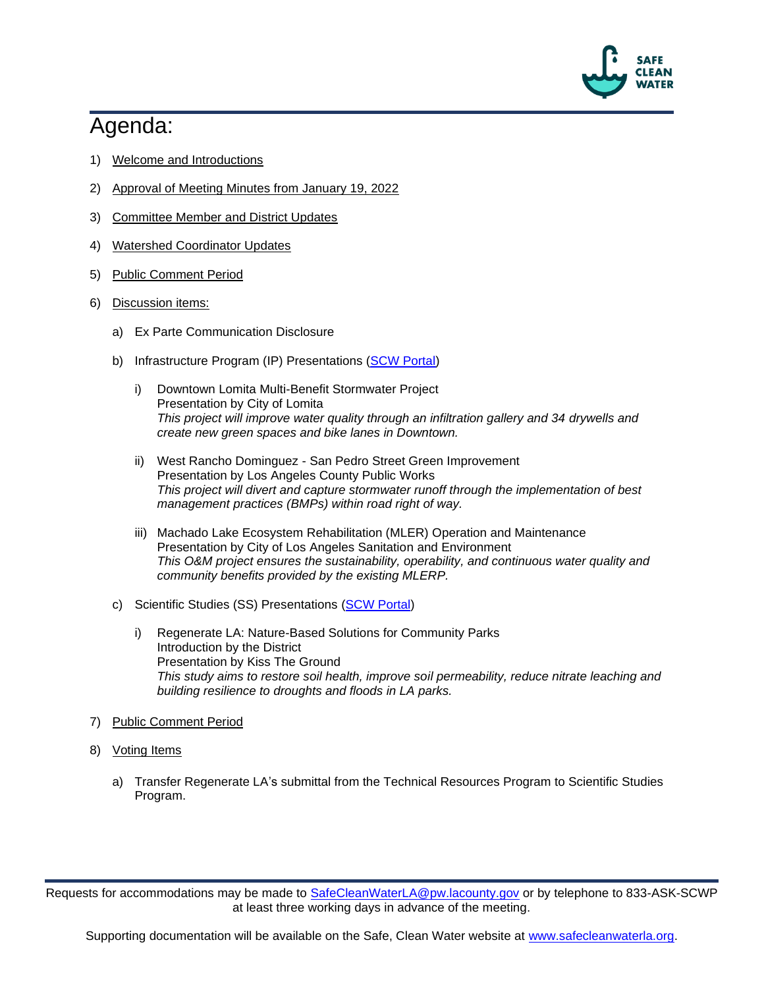

## Agenda:

- 1) Welcome and Introductions
- 2) Approval of Meeting Minutes from January 19, 2022
- 3) Committee Member and District Updates
- 4) Watershed Coordinator Updates
- 5) Public Comment Period
- 6) Discussion items:
	- a) Ex Parte Communication Disclosure
	- b) Infrastructure Program (IP) Presentations [\(SCW Portal\)](https://portal.safecleanwaterla.org/scw-reporting/dashboard)
		- i) Downtown Lomita Multi-Benefit Stormwater Project Presentation by City of Lomita *This project will improve water quality through an infiltration gallery and 34 drywells and create new green spaces and bike lanes in Downtown.*
		- ii) West Rancho Dominguez San Pedro Street Green Improvement Presentation by Los Angeles County Public Works *This project will divert and capture stormwater runoff through the implementation of best management practices (BMPs) within road right of way.*
		- iii) Machado Lake Ecosystem Rehabilitation (MLER) Operation and Maintenance Presentation by City of Los Angeles Sanitation and Environment *This O&M project ensures the sustainability, operability, and continuous water quality and community benefits provided by the existing MLERP.*
	- c) Scientific Studies (SS) Presentations [\(SCW Portal\)](https://portal.safecleanwaterla.org/scw-reporting/dashboard)
		- i) Regenerate LA: Nature-Based Solutions for Community Parks Introduction by the District Presentation by Kiss The Ground *This study aims to restore soil health, improve soil permeability, reduce nitrate leaching and building resilience to droughts and floods in LA parks.*
- 7) Public Comment Period
- 8) Voting Items
	- a) Transfer Regenerate LA's submittal from the Technical Resources Program to Scientific Studies Program.

Requests for accommodations may be made to [SafeCleanWaterLA@pw.lacounty.gov](mailto:SafeCleanWaterLA@pw.lacounty.gov) or by telephone to 833-ASK-SCWP at least three working days in advance of the meeting.